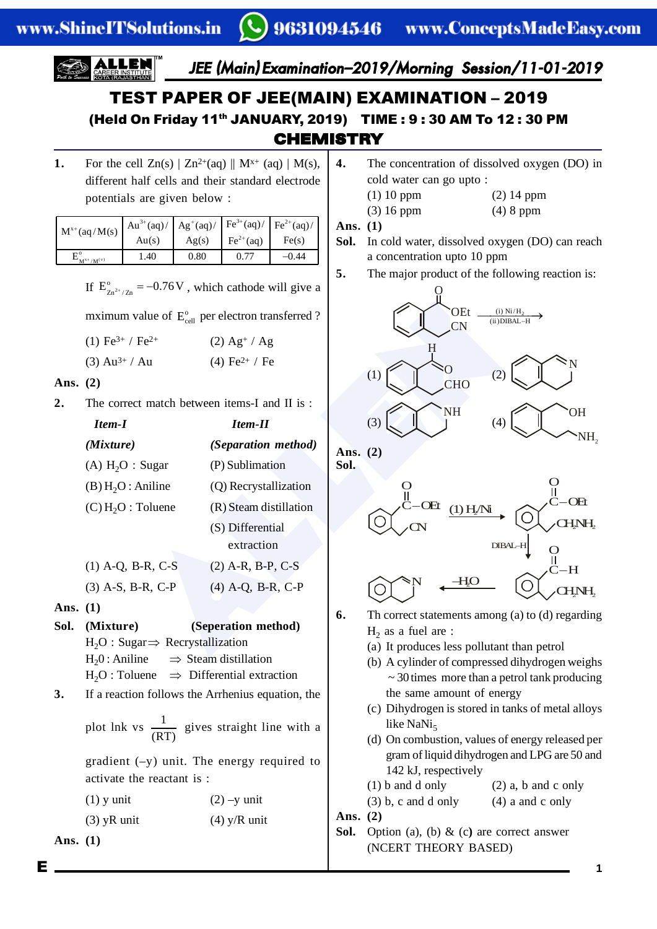JEE (Main) Examination–2019/Morning Session/11-01-2019

# **CHEMISTRY** TEST PAPER OF JEE(MAIN) EXAMINATION – 2019 (Held On Friday 11th JANUARY, 2019) TIME : 9 : 30 AM To 12 : 30 PM

**1.** For the cell  $Zn(s) | Zn^{2+}(aq) || M^{x+}(aq) | M(s),$ different half cells and their standard electrode potentials are given below :

| $M^{x+}$ (aq/M(s) | $\mathbf{A}u^{3+}(aq)/\mathbf{A}g^{+}(aq)/\mathbf{F}e^{3+}(aq)/\mathbf{F}e^{2+}(aq)/$ |       |                             |       |
|-------------------|---------------------------------------------------------------------------------------|-------|-----------------------------|-------|
|                   | Au(s)                                                                                 | Ag(s) | $\text{Fe}^{2+}(\text{aq})$ | Fe(s) |
| $M^{x+}/M^{(v)}$  | 1.40                                                                                  | 0.80  |                             | -0.44 |

If  $E_{7n^2}^{\circ}$  $E_{Zn^{2^*}/Zn}^{\circ} = -0.76V$ , which cathode will give a

| (1) Fe <sup>3+</sup> / Fe <sup>2+</sup> | $(2)$ Ag <sup>+</sup> / Ag |
|-----------------------------------------|----------------------------|
|                                         |                            |

### **Ans. (2)**

**2.** The correct match between items-I and II is :

|                                                                | mximum value of $E_{\text{cell}}^{\circ}$ per electron transferred ? | OEt<br>$(i)$ Ni/H <sub>2</sub><br><b>CN</b> |
|----------------------------------------------------------------|----------------------------------------------------------------------|---------------------------------------------|
| (1) Fe <sup>3+</sup> / Fe <sup>2+</sup>                        | $(2)$ Ag <sup>+</sup> / Ag                                           |                                             |
| $(3)$ Au <sup>3+</sup> / Au                                    | (4) Fe <sup>2+</sup> / Fe                                            |                                             |
| (2)                                                            |                                                                      | (1)<br><b>CHO</b>                           |
|                                                                | The correct match between items-I and II is:                         | NH                                          |
| Item-I                                                         | <b>Item-II</b>                                                       | (3)<br>(4)                                  |
| (Mixture)                                                      | (Separation method)                                                  | Ans. $(2)$                                  |
| (A) $H_2O$ : Sugar                                             | (P) Sublimation                                                      | Sol.                                        |
| (B) H <sub>2</sub> O: Aniline                                  | (Q) Recrystallization                                                |                                             |
| (C) H <sub>2</sub> O: Toluene                                  | (R) Steam distillation                                               |                                             |
|                                                                | (S) Differential                                                     |                                             |
|                                                                | extraction                                                           | $DIBAI - F$                                 |
| $(1)$ A-Q, B-R, C-S                                            | (2) A-R, B-P, C-S                                                    |                                             |
| $(3)$ A-S, B-R, C-P                                            | (4) A-Q, B-R, C-P                                                    |                                             |
| (1)                                                            |                                                                      | 6.<br>Th correct statements among (a) t     |
| (Mixture)                                                      | (Seperation method)                                                  | $H_2$ as a fuel are :                       |
| $H_2O: Sugar \Rightarrow Recrystallization$                    |                                                                      | (a) It produces less pollutant than         |
| $H \wedge \Lambda$ wiling $\longrightarrow$ Steem distillation |                                                                      |                                             |

- **Ans. (1)**
- **Sol. (Mixture) (Seperation method)**  $H_2O$ : Sugar $\Rightarrow$  Recrystallization  $H<sub>2</sub>0$ : Aniline  $\Rightarrow$  Steam distillation  $H_2O$ : Toluene  $\implies$  Differential extraction
- **3.** If a reaction follows the Arrhenius equation, the

plot lnk vs  $\frac{1}{\sqrt{1}}$ (RT) gives straight line with a

gradient  $(-y)$  unit. The energy required to activate the reactant is :

| $(1)$ y unit | $(2)$ -y unit |
|--------------|---------------|
|              |               |

- (3)  $yR$  unit (4)  $y/R$  unit
- **Ans. (1)**
- **4.** The concentration of dissolved oxygen (DO) in cold water can go upto :
	- (1) 10 ppm (2) 14 ppm
		- (3) 16 ppm (4) 8 ppm

**Ans. (1)**

- **Sol.** In cold water, dissolved oxygen (DO) can reach a concentration upto 10 ppm
- **5.** The major product of the following reaction is:





- **6.** Th correct statements among (a) to (d) regarding  $H_2$  as a fuel are :
	- (a) It produces less pollutant than petrol
	- (b) A cylinder of compressed dihydrogen weighs  $\sim$  30 times more than a petrol tank producing the same amount of energy
	- (c) Dihydrogen is stored in tanks of metal alloys like NaNi $<sub>5</sub>$ </sub>
	- (d) On combustion, values of energy released per gram of liquid dihydrogen and LPG are 50 and 142 kJ, respectively
	- (1) b and d only (2) a, b and c only
	- $(3)$  b, c and d only  $(4)$  a and c only

**Ans. (2)**

**Sol.** Option (a), (b) & (c**)** are correct answer (NCERT THEORY BASED)

E **1**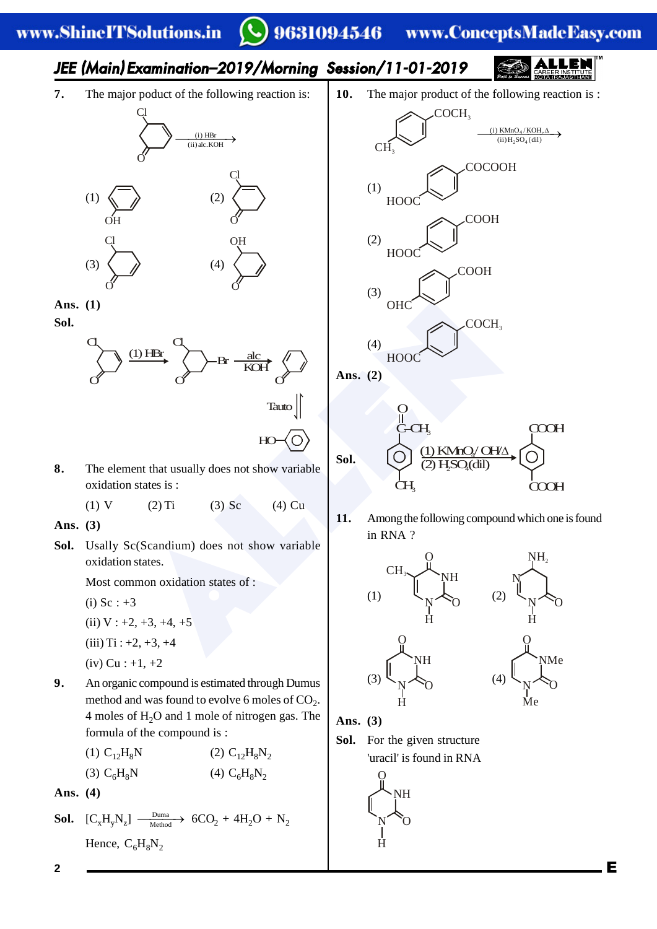#### 9631094546 www.ConceptsMadeEasy.com

# JEE (Main) Examination–2019/Morning Session/11-01-2019

HO

**7.** The major poduct of the following reaction is:



**Ans. (1)**

**Sol.**



**8.** The element that usually does not show variable oxidation states is :

(1) V (2) Ti (3) Sc (4) Cu

**Ans. (3)**

**Sol.** Usally Sc(Scandium) does not show variable oxidation states.

Most common oxidation states of :

- (i)  $Sc : +3$
- (ii)  $V : +2, +3, +4, +5$
- $(iii)$  Ti :  $+2, +3, +4$
- $(iv)$  Cu : +1, +2
- **9.** An organic compound is estimated through Dumus method and was found to evolve 6 moles of  $CO<sub>2</sub>$ . 4 moles of  $H_2O$  and 1 mole of nitrogen gas. The formula of the compound is :

(1) 
$$
C_{12}H_8N
$$
  
(2)  $C_{12}H_8N_2$   
(3)  $C_6H_8N$   
(4)  $C_6H_8N_2$ 

**Ans. (4)**

**Sol.** 
$$
[C_xH_yN_z] \xrightarrow{\text{Duma}} 6CO_2 + 4H_2O + N_2
$$
  
Hence,  $C_6H_8N_2$ 

**10.** The major product of the following reaction is :



**Sol.**  $\overline{\text{CH}}$ O  $\mathrm{G}_{\mathrm{H}_3}$  $(1)$  KMnO<sub>4</sub>/ OH $\triangle$ (dil) COOH COOH

**11.** Among the following compound which one is found in RNA ?



N H

**O** 

NH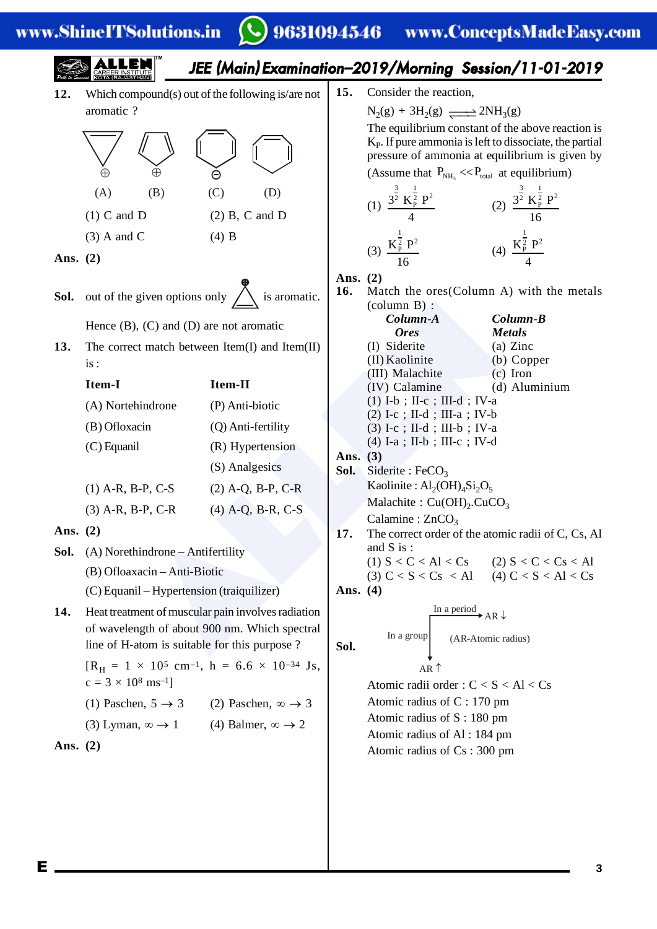|                                                                                                                                                                                                                                                                                                                                                            |                                                                                                                                                                                                                                                                                                                                                                                                                                                                                                                                                                |                                                 |                                                                                                                                                                                                                                                                                                                                                                                                                                                                                                                            | JEE (Main) Examination-2019/Morning Session/11-01-2019                                                                                                                                                                                                                                                                                                                                   |
|------------------------------------------------------------------------------------------------------------------------------------------------------------------------------------------------------------------------------------------------------------------------------------------------------------------------------------------------------------|----------------------------------------------------------------------------------------------------------------------------------------------------------------------------------------------------------------------------------------------------------------------------------------------------------------------------------------------------------------------------------------------------------------------------------------------------------------------------------------------------------------------------------------------------------------|-------------------------------------------------|----------------------------------------------------------------------------------------------------------------------------------------------------------------------------------------------------------------------------------------------------------------------------------------------------------------------------------------------------------------------------------------------------------------------------------------------------------------------------------------------------------------------------|------------------------------------------------------------------------------------------------------------------------------------------------------------------------------------------------------------------------------------------------------------------------------------------------------------------------------------------------------------------------------------------|
| 12.<br>aromatic ?<br>$\oplus$<br>(A)<br>(B)<br>$(1)$ C and D<br>$(3)$ A and C<br>Ans. $(2)$                                                                                                                                                                                                                                                                | Which compound(s) out of the following is/are not<br>$\ominus$<br>(C)<br>(D)<br>$(2)$ B, C and D<br>$(4)$ B<br><b>Sol.</b> out of the given options only $\sum_{n=1}^{\infty}$ is aromatic.<br>Hence $(B)$ , $(C)$ and $(D)$ are not aromatic                                                                                                                                                                                                                                                                                                                  | 15.<br>Ans. $(2)$<br>16.                        | Consider the reaction,<br>$N_2(g) + 3H_2(g) \longrightarrow 2NH_3(g)$<br>(1) $\frac{3^{\frac{3}{2}} K_P^{\frac{1}{2}} P^2}{4}$<br>(3) $\frac{K_P^{\frac{1}{2}} P^2}{16}$<br>$\text{(column B)}$ :<br>Column-A                                                                                                                                                                                                                                                                                                              | The equilibrium constant of the above reaction is<br>$K_{P}$ . If pure ammonia is left to dissociate, the partial<br>pressure of ammonia at equilibrium is given by<br>(Assume that $P_{NH_3} \ll P_{total}$ at equilibrium)<br>(2) $\frac{3^{\frac{3}{2}} K_P^{\frac{1}{2}} P^2}{16}$<br>(4) $\frac{K_P^{\frac{1}{2}} P^2}{4}$<br>Match the ores (Column A) with the metals<br>Column-B |
| 13.<br>is:<br>Item-I<br>(A) Nortehindrone<br>(B) Ofloxacin<br>$(C)$ Equanil<br>$(1)$ A-R, B-P, C-S<br>$(3)$ A-R, B-P, C-R<br>Ans. $(2)$<br>Sol.<br>(A) Norethindrone - Antifertility<br>(B) Ofloaxacin - Anti-Biotic<br>14.<br>$c = 3 \times 10^8$ ms <sup>-1</sup> ]<br>(1) Paschen, $5 \rightarrow 3$<br>(3) Lyman, $\infty \rightarrow 1$<br>Ans. $(2)$ | The correct match between $Item(I)$ and $Item(II)$<br>Item-II<br>(P) Anti-biotic<br>(Q) Anti-fertility<br>(R) Hypertension<br>(S) Analgesics<br>$(2)$ A-Q, B-P, C-R<br>$(4)$ A-Q, B-R, C-S<br>(C) Equanil – Hypertension (traiquilizer)<br>Heat treatment of muscular pain involves radiation<br>of wavelength of about 900 nm. Which spectral<br>line of H-atom is suitable for this purpose?<br>$[R_{\rm H} = 1 \times 10^5$ cm <sup>-1</sup> , h = 6.6 × 10 <sup>-34</sup> Js,<br>(2) Paschen, $\infty \rightarrow 3$<br>(4) Balmer, $\infty \rightarrow 2$ | Ans. $(3)$<br>Sol.<br>17.<br>Ans. $(4)$<br>Sol. | <b>Ores</b><br>(I) Siderite<br>(II) Kaolinite<br>(III) Malachite<br>(IV) Calamine<br>$(1)$ I-b; II-c; III-d; IV-a<br>(2) I-c ; II-d ; III-a ; IV-b<br>(3) I-c; II-d; III-b; IV-a<br>$(4)$ I-a; II-b; III-c; IV-d<br>Siderite : $FeCO3$<br>Kaolinite: $Al_2(OH)_4Si_2O_5$<br>Malachite : $Cu(OH)_{2}$ .CuCO <sub>3</sub><br>Calamine : $ZnCO3$<br>and $S$ is :<br>In a group<br>AR $\uparrow$<br>Atomic radius of $C: 170$ pm<br>Atomic radius of $S: 180$ pm<br>Atomic radius of Al: 184 pm<br>Atomic radius of Cs: 300 pm | <b>Metals</b><br>$(a)$ Zinc<br>(b) Copper<br>$(c)$ Iron<br>(d) Aluminium<br>The correct order of the atomic radii of C, Cs, Al<br>(1) $S < C < A1 < Cs$ (2) $S < C < Cs < AI$<br>(3) $C < S < Cs < A1$ (4) $C < S < A1 < Cs$<br>In a period AR $\downarrow$<br>(AR-Atomic radius)<br>Atomic radii order : $C < S < A1 < Cs$                                                              |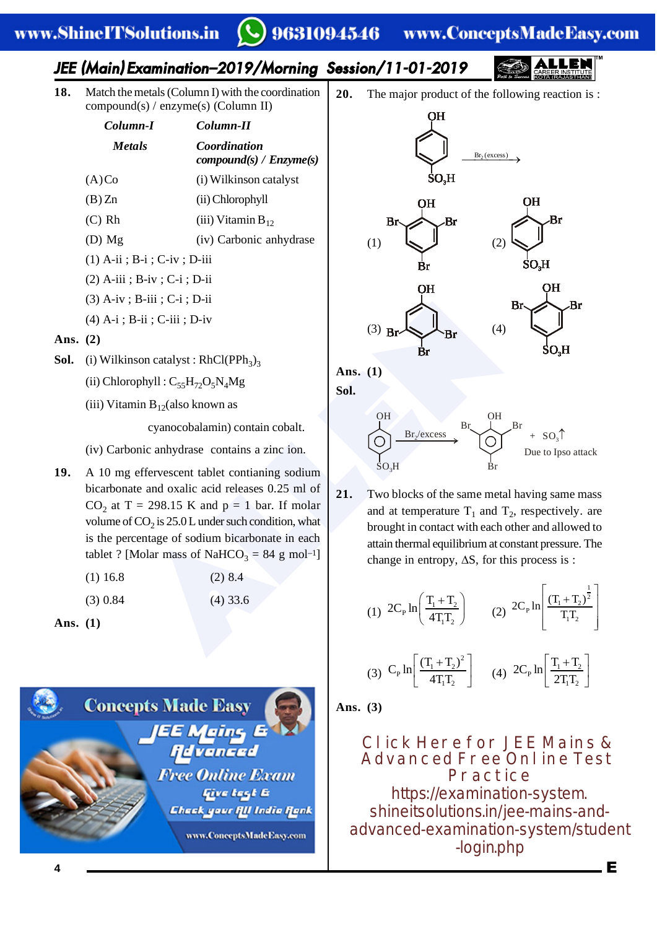#### 9631094546 www.ConceptsMadeEasy.com

# JEE (Main) Examination–2019/Morning Session/11-01-2019

**18.** Match the metals (Column I) with the coordination compound(s) / enzyme(s) (Column II)

| Column-I                        | Column-II                               |  |  |
|---------------------------------|-----------------------------------------|--|--|
| <i>Metals</i>                   | Coordination<br>compound(s) / Enzyme(s) |  |  |
| (A)Co                           | (i) Wilkinson catalyst                  |  |  |
| (B)Zn                           | (ii) Chlorophyll                        |  |  |
| (C) Rh                          | (iii) Vitamin $B_{12}$                  |  |  |
| $(D)$ Mg                        | (iv) Carbonic anhydrase                 |  |  |
| $(1)$ A-ii ; B-i ; C-iv ; D-iii |                                         |  |  |

- (2) A-iii ; B-iv ; C-i ; D-ii
- (3) A-iv ; B-iii ; C-i ; D-ii
- (4) A-i ; B-ii ; C-iii ; D-iv

## **Ans. (2)**

- **Sol.** (i) Wilkinson catalyst :  $RhCl(PPh<sub>3</sub>)<sub>3</sub>$ 
	- (ii) Chlorophyll :  $C_{55}H_{72}O_5N_4Mg$
	- (iii) Vitamin  $B_{12}$ (also known as

cyanocobalamin) contain cobalt.

- (iv) Carbonic anhydrase contains a zinc ion.
- B-ii : C-ii : D-iv<br>
S-ii : C-iii : D-iv<br>
son catalyst : RhCl(PPh<sub>3</sub>)<sub>3</sub><br>
Son catalyst : RhCl(PPh<sub>3</sub>)<sub>3</sub><br>
Ans. (1)<br>
Son catalyst : RhCl(PPh<sub>3</sub>)<sub>3</sub><br>
Ans. (1)<br>
Son catalyst : RhCl(PPh<sub>3</sub>)<sub>3</sub><br>
Son<br>
cannot in B<sub>12</sub>(also known **19.** A 10 mg effervescent tablet contianing sodium bicarbonate and oxalic acid releases 0.25 ml of  $CO<sub>2</sub>$  at T = 298.15 K and p = 1 bar. If molar volume of  $CO_2$  is 25.0 L under such condition, what is the percentage of sodium bicarbonate in each tablet ? [Molar mass of NaHCO<sub>3</sub> = 84 g mol<sup>-1</sup>]

| $(1)$ 16.8 | $(2)$ 8.4  |
|------------|------------|
| $(3)$ 0.84 | $(4)$ 33.6 |

**Ans. (1)**



**20.** The major product of the following reaction is :



**Ans. (1)**

**Sol.**

#### OH OH  $SO.H$ Br /excess <sup>2</sup> Br<sub>y</sub> L<sub>Br</sub>  $+ SO_3$ Due to Ipso attack

**21.** Two blocks of the same metal having same mass and at temperature  $T_1$  and  $T_2$ , respectively. are brought in contact with each other and allowed to attain thermal equilibrium at constant pressure. The change in entropy,  $\Delta S$ , for this process is :

(1) 
$$
2C_{P} \ln \left( \frac{T_{1} + T_{2}}{4T_{1}T_{2}} \right)
$$
 (2)  $2C_{P} \ln \left[ \frac{(T_{1} + T_{2})^{\frac{1}{2}}}{T_{1}T_{2}} \right]$ 

(3) 
$$
C_P \ln \left[ \frac{(T_1 + T_2)^2}{4T_1T_2} \right]
$$
 (4)  $2C_P \ln \left[ \frac{T_1 + T_2}{2T_1T_2} \right]$ 

**Ans. (3)**

**Click Here for JEE Mains & Advanced Free Online Test Practice** https://examination-system. shineitsolutions.in/jee-mains-and[advanced-examination-system/student](https://examination-system.shineitsolutions.in/jee-mains-and-advanced-examination-system/student-login.php) -login.php